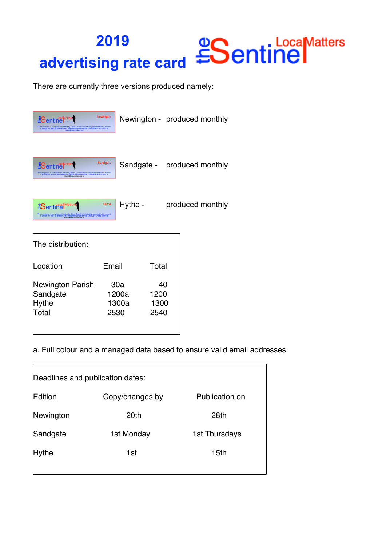## **LocaMatters 2019 advertising rate card**

There are currently three versions produced namely:

| <b>Sentine</b><br>is newsletter is compiled and edited by David Cowell who is totally responsible for<br>If you do not wish to receive these newslettlers please email UNSUBSCRIBE to hi                                                                      | Newington                     |  |                            |  | Newington - produced monthly |
|---------------------------------------------------------------------------------------------------------------------------------------------------------------------------------------------------------------------------------------------------------------|-------------------------------|--|----------------------------|--|------------------------------|
| <b>Sentinel</b><br>is magazine is compiled and edited by David Cowell who is totally responsible for the second magazines please email UNSUBSCRIBE to<br>If you do not wish to receive david@thesentinel.org.uk                                               | Sandgate                      |  |                            |  | Sandgate - produced monthly  |
| <b>ESentinel</b> Matters<br>This newsletter is compiled and edited by David Cowell who is totally responsible for contributions of the series please email UNSUBSCRIBE to him at<br>If you do not wish to receive these newslettiers please and UNSUBSCRIBE t | <b>Hythe</b>                  |  | Hythe -                    |  | produced monthly             |
| The distribution:                                                                                                                                                                                                                                             |                               |  |                            |  |                              |
| Location                                                                                                                                                                                                                                                      | Email                         |  | Total                      |  |                              |
| Newington Parish<br>Sandgate<br>Hythe<br>Total                                                                                                                                                                                                                | 30a<br>1200a<br>1300a<br>2530 |  | 40<br>1200<br>1300<br>2540 |  |                              |

a. Full colour and a managed data based to ensure valid email addresses

| Deadlines and publication dates: |                 |                |  |  |  |
|----------------------------------|-----------------|----------------|--|--|--|
| Edition                          | Copy/changes by | Publication on |  |  |  |
| Newington                        | 20th            | 28th           |  |  |  |
| Sandgate                         | 1st Monday      | 1st Thursdays  |  |  |  |
| Hythe                            | 1st             | 15th           |  |  |  |
|                                  |                 |                |  |  |  |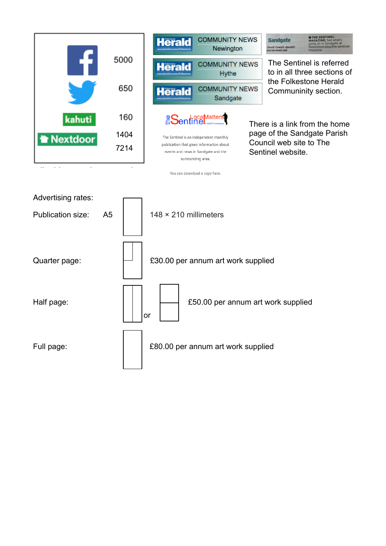